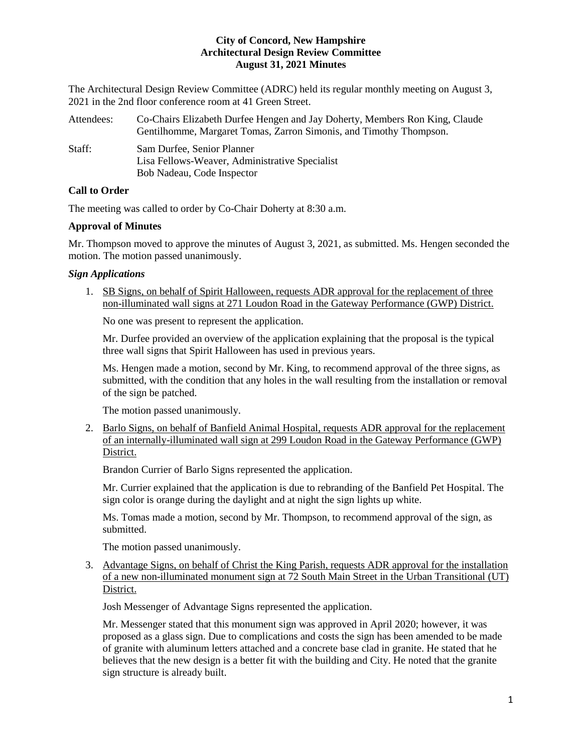The Architectural Design Review Committee (ADRC) held its regular monthly meeting on August 3, 2021 in the 2nd floor conference room at 41 Green Street.

| Attendees: | Co-Chairs Elizabeth Durfee Hengen and Jay Doherty, Members Ron King, Claude |
|------------|-----------------------------------------------------------------------------|
|            | Gentilhomme, Margaret Tomas, Zarron Simonis, and Timothy Thompson.          |
| Staff:     | Sam Durfee, Senior Planner                                                  |
|            | Lisa Fellows-Weaver, Administrative Specialist                              |
|            | Bob Nadeau, Code Inspector                                                  |

# **Call to Order**

The meeting was called to order by Co-Chair Doherty at 8:30 a.m.

# **Approval of Minutes**

Mr. Thompson moved to approve the minutes of August 3, 2021, as submitted. Ms. Hengen seconded the motion. The motion passed unanimously.

# *Sign Applications*

1. SB Signs, on behalf of Spirit Halloween, requests ADR approval for the replacement of three non-illuminated wall signs at 271 Loudon Road in the Gateway Performance (GWP) District.

No one was present to represent the application.

Mr. Durfee provided an overview of the application explaining that the proposal is the typical three wall signs that Spirit Halloween has used in previous years.

Ms. Hengen made a motion, second by Mr. King, to recommend approval of the three signs, as submitted, with the condition that any holes in the wall resulting from the installation or removal of the sign be patched.

The motion passed unanimously.

2. Barlo Signs, on behalf of Banfield Animal Hospital, requests ADR approval for the replacement of an internally-illuminated wall sign at 299 Loudon Road in the Gateway Performance (GWP) District.

Brandon Currier of Barlo Signs represented the application.

Mr. Currier explained that the application is due to rebranding of the Banfield Pet Hospital. The sign color is orange during the daylight and at night the sign lights up white.

Ms. Tomas made a motion, second by Mr. Thompson, to recommend approval of the sign, as submitted.

The motion passed unanimously.

3. Advantage Signs, on behalf of Christ the King Parish, requests ADR approval for the installation of a new non-illuminated monument sign at 72 South Main Street in the Urban Transitional (UT) District.

Josh Messenger of Advantage Signs represented the application.

Mr. Messenger stated that this monument sign was approved in April 2020; however, it was proposed as a glass sign. Due to complications and costs the sign has been amended to be made of granite with aluminum letters attached and a concrete base clad in granite. He stated that he believes that the new design is a better fit with the building and City. He noted that the granite sign structure is already built.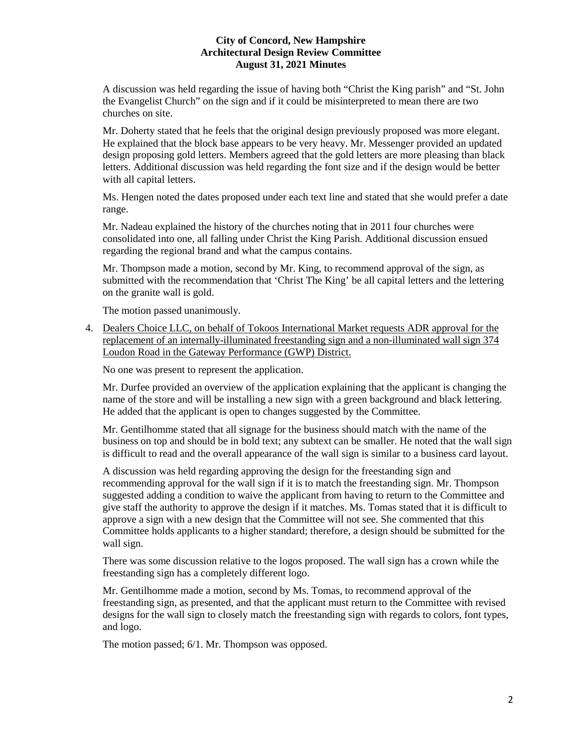A discussion was held regarding the issue of having both "Christ the King parish" and "St. John the Evangelist Church" on the sign and if it could be misinterpreted to mean there are two churches on site.

Mr. Doherty stated that he feels that the original design previously proposed was more elegant. He explained that the block base appears to be very heavy. Mr. Messenger provided an updated design proposing gold letters. Members agreed that the gold letters are more pleasing than black letters. Additional discussion was held regarding the font size and if the design would be better with all capital letters.

Ms. Hengen noted the dates proposed under each text line and stated that she would prefer a date range.

Mr. Nadeau explained the history of the churches noting that in 2011 four churches were consolidated into one, all falling under Christ the King Parish. Additional discussion ensued regarding the regional brand and what the campus contains.

Mr. Thompson made a motion, second by Mr. King, to recommend approval of the sign, as submitted with the recommendation that 'Christ The King' be all capital letters and the lettering on the granite wall is gold.

The motion passed unanimously.

4. Dealers Choice LLC, on behalf of Tokoos International Market requests ADR approval for the replacement of an internally-illuminated freestanding sign and a non-illuminated wall sign 374 Loudon Road in the Gateway Performance (GWP) District.

No one was present to represent the application.

Mr. Durfee provided an overview of the application explaining that the applicant is changing the name of the store and will be installing a new sign with a green background and black lettering. He added that the applicant is open to changes suggested by the Committee.

Mr. Gentilhomme stated that all signage for the business should match with the name of the business on top and should be in bold text; any subtext can be smaller. He noted that the wall sign is difficult to read and the overall appearance of the wall sign is similar to a business card layout.

A discussion was held regarding approving the design for the freestanding sign and recommending approval for the wall sign if it is to match the freestanding sign. Mr. Thompson suggested adding a condition to waive the applicant from having to return to the Committee and give staff the authority to approve the design if it matches. Ms. Tomas stated that it is difficult to approve a sign with a new design that the Committee will not see. She commented that this Committee holds applicants to a higher standard; therefore, a design should be submitted for the wall sign.

There was some discussion relative to the logos proposed. The wall sign has a crown while the freestanding sign has a completely different logo.

Mr. Gentilhomme made a motion, second by Ms. Tomas, to recommend approval of the freestanding sign, as presented, and that the applicant must return to the Committee with revised designs for the wall sign to closely match the freestanding sign with regards to colors, font types, and logo.

The motion passed; 6/1. Mr. Thompson was opposed.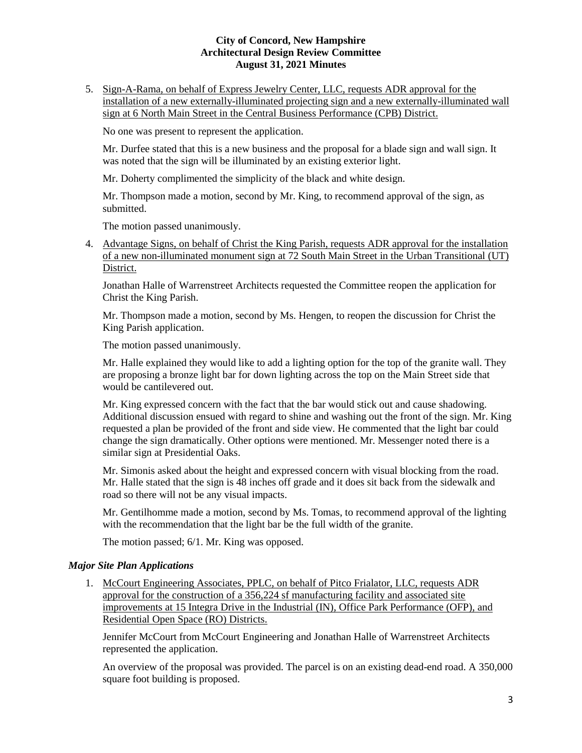5. Sign-A-Rama, on behalf of Express Jewelry Center, LLC, requests ADR approval for the installation of a new externally-illuminated projecting sign and a new externally-illuminated wall sign at 6 North Main Street in the Central Business Performance (CPB) District.

No one was present to represent the application.

Mr. Durfee stated that this is a new business and the proposal for a blade sign and wall sign. It was noted that the sign will be illuminated by an existing exterior light.

Mr. Doherty complimented the simplicity of the black and white design.

Mr. Thompson made a motion, second by Mr. King, to recommend approval of the sign, as submitted.

The motion passed unanimously.

4. Advantage Signs, on behalf of Christ the King Parish, requests ADR approval for the installation of a new non-illuminated monument sign at 72 South Main Street in the Urban Transitional (UT) District.

Jonathan Halle of Warrenstreet Architects requested the Committee reopen the application for Christ the King Parish.

Mr. Thompson made a motion, second by Ms. Hengen, to reopen the discussion for Christ the King Parish application.

The motion passed unanimously.

Mr. Halle explained they would like to add a lighting option for the top of the granite wall. They are proposing a bronze light bar for down lighting across the top on the Main Street side that would be cantilevered out.

Mr. King expressed concern with the fact that the bar would stick out and cause shadowing. Additional discussion ensued with regard to shine and washing out the front of the sign. Mr. King requested a plan be provided of the front and side view. He commented that the light bar could change the sign dramatically. Other options were mentioned. Mr. Messenger noted there is a similar sign at Presidential Oaks.

Mr. Simonis asked about the height and expressed concern with visual blocking from the road. Mr. Halle stated that the sign is 48 inches off grade and it does sit back from the sidewalk and road so there will not be any visual impacts.

Mr. Gentilhomme made a motion, second by Ms. Tomas, to recommend approval of the lighting with the recommendation that the light bar be the full width of the granite.

The motion passed; 6/1. Mr. King was opposed.

# *Major Site Plan Applications*

1. McCourt Engineering Associates, PPLC, on behalf of Pitco Frialator, LLC, requests ADR approval for the construction of a 356,224 sf manufacturing facility and associated site improvements at 15 Integra Drive in the Industrial (IN), Office Park Performance (OFP), and Residential Open Space (RO) Districts.

Jennifer McCourt from McCourt Engineering and Jonathan Halle of Warrenstreet Architects represented the application.

An overview of the proposal was provided. The parcel is on an existing dead-end road. A 350,000 square foot building is proposed.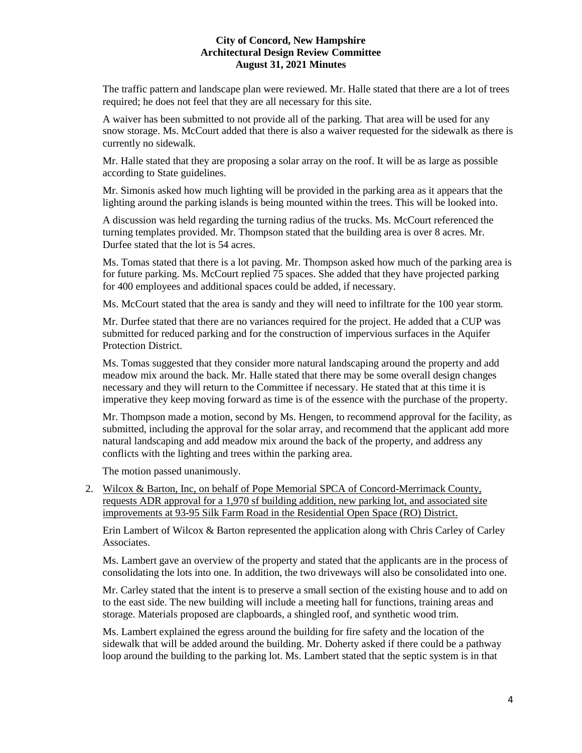The traffic pattern and landscape plan were reviewed. Mr. Halle stated that there are a lot of trees required; he does not feel that they are all necessary for this site.

A waiver has been submitted to not provide all of the parking. That area will be used for any snow storage. Ms. McCourt added that there is also a waiver requested for the sidewalk as there is currently no sidewalk.

Mr. Halle stated that they are proposing a solar array on the roof. It will be as large as possible according to State guidelines.

Mr. Simonis asked how much lighting will be provided in the parking area as it appears that the lighting around the parking islands is being mounted within the trees. This will be looked into.

A discussion was held regarding the turning radius of the trucks. Ms. McCourt referenced the turning templates provided. Mr. Thompson stated that the building area is over 8 acres. Mr. Durfee stated that the lot is 54 acres.

Ms. Tomas stated that there is a lot paving. Mr. Thompson asked how much of the parking area is for future parking. Ms. McCourt replied 75 spaces. She added that they have projected parking for 400 employees and additional spaces could be added, if necessary.

Ms. McCourt stated that the area is sandy and they will need to infiltrate for the 100 year storm.

Mr. Durfee stated that there are no variances required for the project. He added that a CUP was submitted for reduced parking and for the construction of impervious surfaces in the Aquifer Protection District.

Ms. Tomas suggested that they consider more natural landscaping around the property and add meadow mix around the back. Mr. Halle stated that there may be some overall design changes necessary and they will return to the Committee if necessary. He stated that at this time it is imperative they keep moving forward as time is of the essence with the purchase of the property.

Mr. Thompson made a motion, second by Ms. Hengen, to recommend approval for the facility, as submitted, including the approval for the solar array, and recommend that the applicant add more natural landscaping and add meadow mix around the back of the property, and address any conflicts with the lighting and trees within the parking area.

The motion passed unanimously.

2. Wilcox & Barton, Inc, on behalf of Pope Memorial SPCA of Concord-Merrimack County, requests ADR approval for a 1,970 sf building addition, new parking lot, and associated site improvements at 93-95 Silk Farm Road in the Residential Open Space (RO) District.

Erin Lambert of Wilcox & Barton represented the application along with Chris Carley of Carley Associates.

Ms. Lambert gave an overview of the property and stated that the applicants are in the process of consolidating the lots into one. In addition, the two driveways will also be consolidated into one.

Mr. Carley stated that the intent is to preserve a small section of the existing house and to add on to the east side. The new building will include a meeting hall for functions, training areas and storage. Materials proposed are clapboards, a shingled roof, and synthetic wood trim.

Ms. Lambert explained the egress around the building for fire safety and the location of the sidewalk that will be added around the building. Mr. Doherty asked if there could be a pathway loop around the building to the parking lot. Ms. Lambert stated that the septic system is in that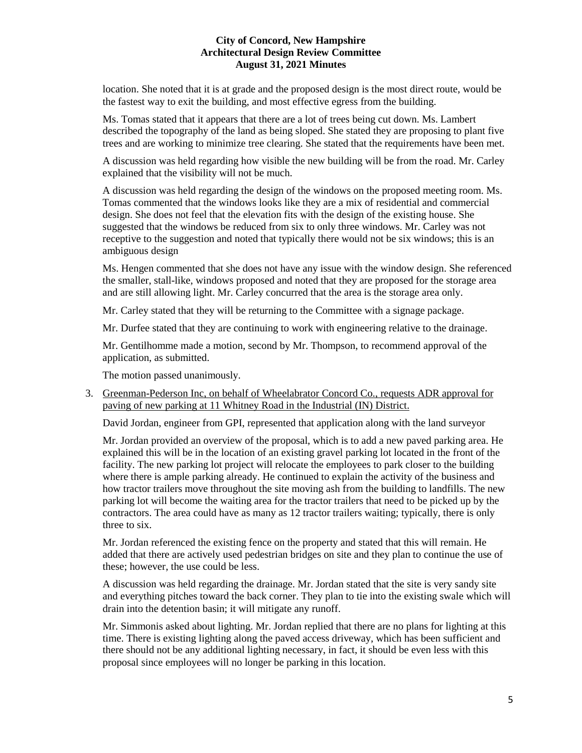location. She noted that it is at grade and the proposed design is the most direct route, would be the fastest way to exit the building, and most effective egress from the building.

Ms. Tomas stated that it appears that there are a lot of trees being cut down. Ms. Lambert described the topography of the land as being sloped. She stated they are proposing to plant five trees and are working to minimize tree clearing. She stated that the requirements have been met.

A discussion was held regarding how visible the new building will be from the road. Mr. Carley explained that the visibility will not be much.

A discussion was held regarding the design of the windows on the proposed meeting room. Ms. Tomas commented that the windows looks like they are a mix of residential and commercial design. She does not feel that the elevation fits with the design of the existing house. She suggested that the windows be reduced from six to only three windows. Mr. Carley was not receptive to the suggestion and noted that typically there would not be six windows; this is an ambiguous design

Ms. Hengen commented that she does not have any issue with the window design. She referenced the smaller, stall-like, windows proposed and noted that they are proposed for the storage area and are still allowing light. Mr. Carley concurred that the area is the storage area only.

Mr. Carley stated that they will be returning to the Committee with a signage package.

Mr. Durfee stated that they are continuing to work with engineering relative to the drainage.

Mr. Gentilhomme made a motion, second by Mr. Thompson, to recommend approval of the application, as submitted.

The motion passed unanimously.

3. Greenman-Pederson Inc, on behalf of Wheelabrator Concord Co., requests ADR approval for paving of new parking at 11 Whitney Road in the Industrial (IN) District.

David Jordan, engineer from GPI, represented that application along with the land surveyor

Mr. Jordan provided an overview of the proposal, which is to add a new paved parking area. He explained this will be in the location of an existing gravel parking lot located in the front of the facility. The new parking lot project will relocate the employees to park closer to the building where there is ample parking already. He continued to explain the activity of the business and how tractor trailers move throughout the site moving ash from the building to landfills. The new parking lot will become the waiting area for the tractor trailers that need to be picked up by the contractors. The area could have as many as 12 tractor trailers waiting; typically, there is only three to six.

Mr. Jordan referenced the existing fence on the property and stated that this will remain. He added that there are actively used pedestrian bridges on site and they plan to continue the use of these; however, the use could be less.

A discussion was held regarding the drainage. Mr. Jordan stated that the site is very sandy site and everything pitches toward the back corner. They plan to tie into the existing swale which will drain into the detention basin; it will mitigate any runoff.

Mr. Simmonis asked about lighting. Mr. Jordan replied that there are no plans for lighting at this time. There is existing lighting along the paved access driveway, which has been sufficient and there should not be any additional lighting necessary, in fact, it should be even less with this proposal since employees will no longer be parking in this location.